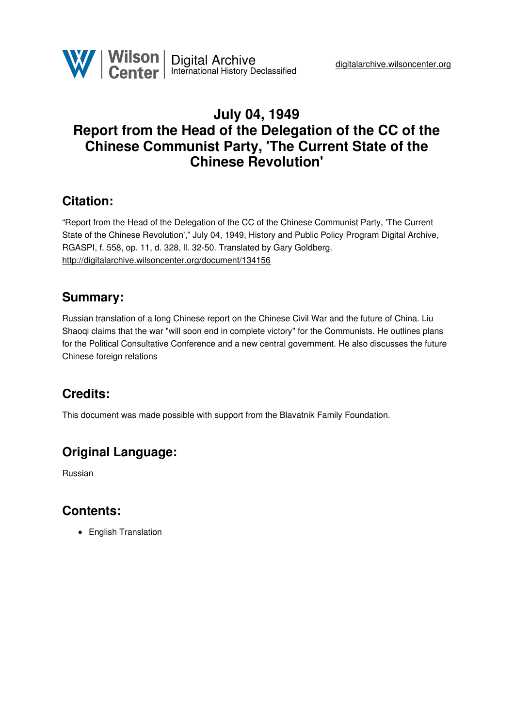

# **July 04, 1949 Report from the Head of the Delegation of the CC of the Chinese Communist Party, 'The Current State of the Chinese Revolution'**

# **Citation:**

"Report from the Head of the Delegation of the CC of the Chinese Communist Party, 'The Current State of the Chinese Revolution'," July 04, 1949, History and Public Policy Program Digital Archive, RGASPI, f. 558, op. 11, d. 328, ll. 32-50. Translated by Gary Goldberg. <http://digitalarchive.wilsoncenter.org/document/134156>

## **Summary:**

Russian translation of a long Chinese report on the Chinese Civil War and the future of China. Liu Shaoqi claims that the war "will soon end in complete victory" for the Communists. He outlines plans for the Political Consultative Conference and a new central government. He also discusses the future Chinese foreign relations

# **Credits:**

This document was made possible with support from the Blavatnik Family Foundation.

# **Original Language:**

Russian

## **Contents:**

• English Translation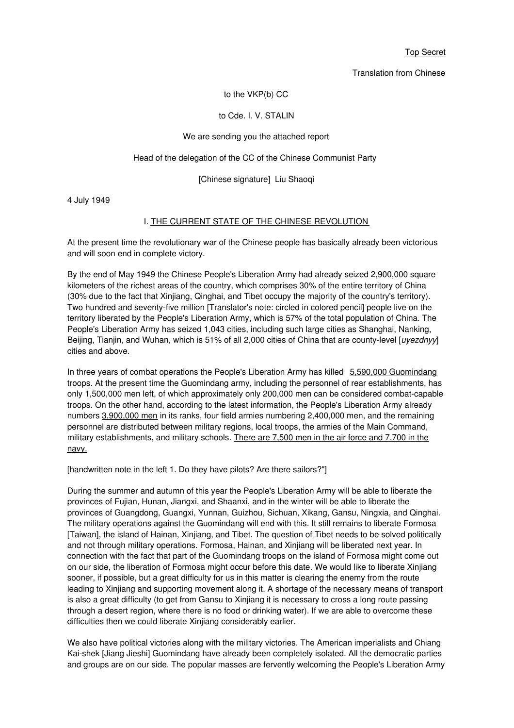Top Secret

Translation from Chinese

#### to the VKP(b) CC

#### to Cde. I. V. STALIN

#### We are sending you the attached report

#### Head of the delegation of the CC of the Chinese Communist Party

#### [Chinese signature] Liu Shaoqi

4 July 1949

#### I. THE CURRENT STATE OF THE CHINESE REVOLUTION

At the present time the revolutionary war of the Chinese people has basically already been victorious and will soon end in complete victory.

By the end of May 1949 the Chinese People's Liberation Army had already seized 2,900,000 square kilometers of the richest areas of the country, which comprises 30% of the entire territory of China (30% due to the fact that Xinjiang, Qinghai, and Tibet occupy the majority of the country's territory). Two hundred and seventy-five million [Translator's note: circled in colored pencil] people live on the territory liberated by the People's Liberation Army, which is 57% of the total population of China. The People's Liberation Army has seized 1,043 cities, including such large cities as Shanghai, Nanking, Beijing, Tianjin, and Wuhan, which is 51% of all 2,000 cities of China that are county-level [*uyezdnyy*] cities and above.

In three years of combat operations the People's Liberation Army has killed 5,590,000 Guomindang troops. At the present time the Guomindang army, including the personnel of rear establishments, has only 1,500,000 men left, of which approximately only 200,000 men can be considered combat-capable troops. On the other hand, according to the latest information, the People's Liberation Army already numbers 3,900,000 men in its ranks, four field armies numbering 2,400,000 men, and the remaining personnel are distributed between military regions, local troops, the armies of the Main Command, military establishments, and military schools. There are 7,500 men in the air force and 7,700 in the navy.

[handwritten note in the left 1. Do they have pilots? Are there sailors?"]

During the summer and autumn of this year the People's Liberation Army will be able to liberate the provinces of Fujian, Hunan, Jiangxi, and Shaanxi, and in the winter will be able to liberate the provinces of Guangdong, Guangxi, Yunnan, Guizhou, Sichuan, Xikang, Gansu, Ningxia, and Qinghai. The military operations against the Guomindang will end with this. It still remains to liberate Formosa [Taiwan], the island of Hainan, Xinjiang, and Tibet. The question of Tibet needs to be solved politically and not through military operations. Formosa, Hainan, and Xinjiang will be liberated next year. In connection with the fact that part of the Guomindang troops on the island of Formosa might come out on our side, the liberation of Formosa might occur before this date. We would like to liberate Xinjiang sooner, if possible, but a great difficulty for us in this matter is clearing the enemy from the route leading to Xinjiang and supporting movement along it. A shortage of the necessary means of transport is also a great difficulty (to get from Gansu to Xinjiang it is necessary to cross a long route passing through a desert region, where there is no food or drinking water). If we are able to overcome these difficulties then we could liberate Xinjiang considerably earlier.

We also have political victories along with the military victories. The American imperialists and Chiang Kai-shek [Jiang Jieshi] Guomindang have already been completely isolated. All the democratic parties and groups are on our side. The popular masses are fervently welcoming the People's Liberation Army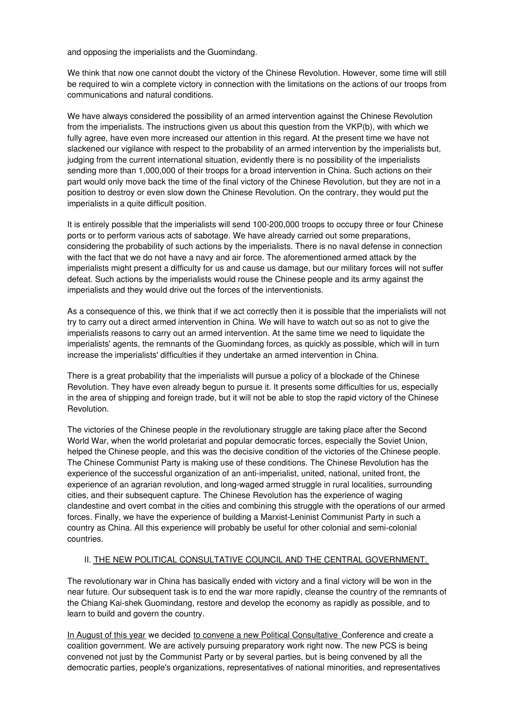and opposing the imperialists and the Guomindang.

We think that now one cannot doubt the victory of the Chinese Revolution. However, some time will still be required to win a complete victory in connection with the limitations on the actions of our troops from communications and natural conditions.

We have always considered the possibility of an armed intervention against the Chinese Revolution from the imperialists. The instructions given us about this question from the VKP(b), with which we fully agree, have even more increased our attention in this regard. At the present time we have not slackened our vigilance with respect to the probability of an armed intervention by the imperialists but, judging from the current international situation, evidently there is no possibility of the imperialists sending more than 1,000,000 of their troops for a broad intervention in China. Such actions on their part would only move back the time of the final victory of the Chinese Revolution, but they are not in a position to destroy or even slow down the Chinese Revolution. On the contrary, they would put the imperialists in a quite difficult position.

It is entirely possible that the imperialists will send 100-200,000 troops to occupy three or four Chinese ports or to perform various acts of sabotage. We have already carried out some preparations, considering the probability of such actions by the imperialists. There is no naval defense in connection with the fact that we do not have a navy and air force. The aforementioned armed attack by the imperialists might present a difficulty for us and cause us damage, but our military forces will not suffer defeat. Such actions by the imperialists would rouse the Chinese people and its army against the imperialists and they would drive out the forces of the interventionists.

As a consequence of this, we think that if we act correctly then it is possible that the imperialists will not try to carry out a direct armed intervention in China. We will have to watch out so as not to give the imperialists reasons to carry out an armed intervention. At the same time we need to liquidate the imperialists' agents, the remnants of the Guomindang forces, as quickly as possible, which will in turn increase the imperialists' difficulties if they undertake an armed intervention in China.

There is a great probability that the imperialists will pursue a policy of a blockade of the Chinese Revolution. They have even already begun to pursue it. It presents some difficulties for us, especially in the area of shipping and foreign trade, but it will not be able to stop the rapid victory of the Chinese Revolution.

The victories of the Chinese people in the revolutionary struggle are taking place after the Second World War, when the world proletariat and popular democratic forces, especially the Soviet Union, helped the Chinese people, and this was the decisive condition of the victories of the Chinese people. The Chinese Communist Party is making use of these conditions. The Chinese Revolution has the experience of the successful organization of an anti-imperialist, united, national, united front, the experience of an agrarian revolution, and long-waged armed struggle in rural localities, surrounding cities, and their subsequent capture. The Chinese Revolution has the experience of waging clandestine and overt combat in the cities and combining this struggle with the operations of our armed forces. Finally, we have the experience of building a Marxist-Leninist Communist Party in such a country as China. All this experience will probably be useful for other colonial and semi-colonial countries.

#### II. THE NEW POLITICAL CONSULTATIVE COUNCIL AND THE CENTRAL GOVERNMENT.

The revolutionary war in China has basically ended with victory and a final victory will be won in the near future. Our subsequent task is to end the war more rapidly, cleanse the country of the remnants of the Chiang Kai-shek Guomindang, restore and develop the economy as rapidly as possible, and to learn to build and govern the country.

In August of this year we decided to convene a new Political Consultative Conference and create a coalition government. We are actively pursuing preparatory work right now. The new PCS is being convened not just by the Communist Party or by several parties, but is being convened by all the democratic parties, people's organizations, representatives of national minorities, and representatives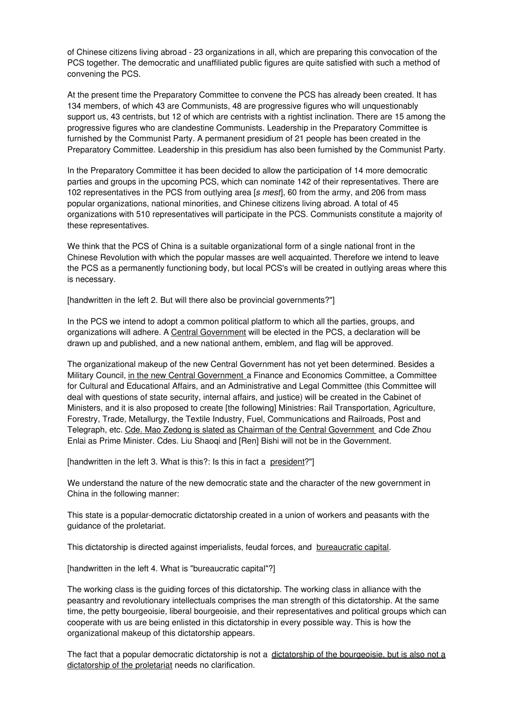of Chinese citizens living abroad - 23 organizations in all, which are preparing this convocation of the PCS together. The democratic and unaffiliated public figures are quite satisfied with such a method of convening the PCS.

At the present time the Preparatory Committee to convene the PCS has already been created. It has 134 members, of which 43 are Communists, 48 are progressive figures who will unquestionably support us, 43 centrists, but 12 of which are centrists with a rightist inclination. There are 15 among the progressive figures who are clandestine Communists. Leadership in the Preparatory Committee is furnished by the Communist Party. A permanent presidium of 21 people has been created in the Preparatory Committee. Leadership in this presidium has also been furnished by the Communist Party.

In the Preparatory Committee it has been decided to allow the participation of 14 more democratic parties and groups in the upcoming PCS, which can nominate 142 of their representatives. There are 102 representatives in the PCS from outlying area [*s mest*], 60 from the army, and 206 from mass popular organizations, national minorities, and Chinese citizens living abroad. A total of 45 organizations with 510 representatives will participate in the PCS. Communists constitute a majority of these representatives.

We think that the PCS of China is a suitable organizational form of a single national front in the Chinese Revolution with which the popular masses are well acquainted. Therefore we intend to leave the PCS as a permanently functioning body, but local PCS's will be created in outlying areas where this is necessary.

[handwritten in the left 2. But will there also be provincial governments?"]

In the PCS we intend to adopt a common political platform to which all the parties, groups, and organizations will adhere. A Central Government will be elected in the PCS, a declaration will be drawn up and published, and a new national anthem, emblem, and flag will be approved.

The organizational makeup of the new Central Government has not yet been determined. Besides a Military Council, in the new Central Government a Finance and Economics Committee, a Committee for Cultural and Educational Affairs, and an Administrative and Legal Committee (this Committee will deal with questions of state security, internal affairs, and justice) will be created in the Cabinet of Ministers, and it is also proposed to create [the following] Ministries: Rail Transportation, Agriculture, Forestry, Trade, Metallurgy, the Textile Industry, Fuel, Communications and Railroads, Post and Telegraph, etc. Cde. Mao Zedong is slated as Chairman of the Central Government and Cde Zhou Enlai as Prime Minister. Cdes. Liu Shaoqi and [Ren] Bishi will not be in the Government.

[handwritten in the left 3. What is this?: Is this in fact a president?"]

We understand the nature of the new democratic state and the character of the new government in China in the following manner:

This state is a popular-democratic dictatorship created in a union of workers and peasants with the guidance of the proletariat.

This dictatorship is directed against imperialists, feudal forces, and bureaucratic capital.

[handwritten in the left 4. What is "bureaucratic capital"?]

The working class is the guiding forces of this dictatorship. The working class in alliance with the peasantry and revolutionary intellectuals comprises the man strength of this dictatorship. At the same time, the petty bourgeoisie, liberal bourgeoisie, and their representatives and political groups which can cooperate with us are being enlisted in this dictatorship in every possible way. This is how the organizational makeup of this dictatorship appears.

The fact that a popular democratic dictatorship is not a dictatorship of the bourgeoisie, but is also not a dictatorship of the proletariat needs no clarification.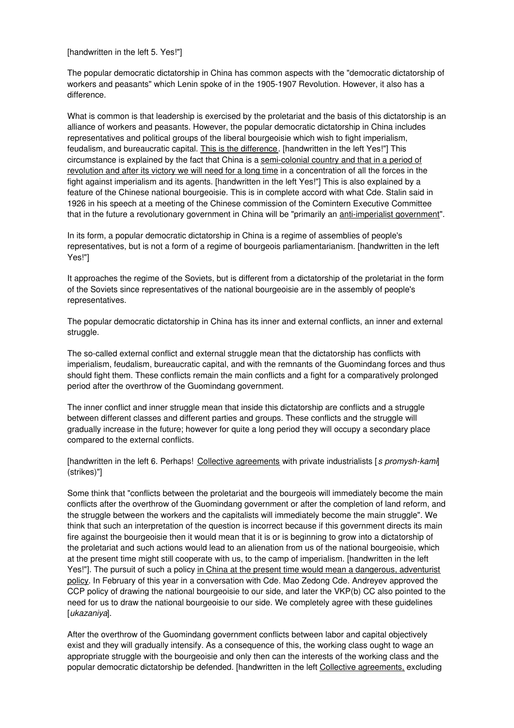[handwritten in the left 5. Yes!"]

The popular democratic dictatorship in China has common aspects with the "democratic dictatorship of workers and peasants" which Lenin spoke of in the 1905-1907 Revolution. However, it also has a difference.

What is common is that leadership is exercised by the proletariat and the basis of this dictatorship is an alliance of workers and peasants. However, the popular democratic dictatorship in China includes representatives and political groups of the liberal bourgeoisie which wish to fight imperialism, feudalism, and bureaucratic capital. This is the difference. [handwritten in the left Yes!"] This circumstance is explained by the fact that China is a semi-colonial country and that in a period of revolution and after its victory we will need for a long time in a concentration of all the forces in the fight against imperialism and its agents. [handwritten in the left Yes!"] This is also explained by a feature of the Chinese national bourgeoisie. This is in complete accord with what Cde. Stalin said in 1926 in his speech at a meeting of the Chinese commission of the Comintern Executive Committee that in the future a revolutionary government in China will be "primarily an anti-imperialist government".

In its form, a popular democratic dictatorship in China is a regime of assemblies of people's representatives, but is not a form of a regime of bourgeois parliamentarianism. [handwritten in the left Yes!"]

It approaches the regime of the Soviets, but is different from a dictatorship of the proletariat in the form of the Soviets since representatives of the national bourgeoisie are in the assembly of people's representatives.

The popular democratic dictatorship in China has its inner and external conflicts, an inner and external struggle.

The so-called external conflict and external struggle mean that the dictatorship has conflicts with imperialism, feudalism, bureaucratic capital, and with the remnants of the Guomindang forces and thus should fight them. These conflicts remain the main conflicts and a fight for a comparatively prolonged period after the overthrow of the Guomindang government.

The inner conflict and inner struggle mean that inside this dictatorship are conflicts and a struggle between different classes and different parties and groups. These conflicts and the struggle will gradually increase in the future; however for quite a long period they will occupy a secondary place compared to the external conflicts.

[handwritten in the left 6. Perhaps! Collective agreements with private industrialists [*s promysh*-*kami*] (strikes)"]

Some think that "conflicts between the proletariat and the bourgeois will immediately become the main conflicts after the overthrow of the Guomindang government or after the completion of land reform, and the struggle between the workers and the capitalists will immediately become the main struggle". We think that such an interpretation of the question is incorrect because if this government directs its main fire against the bourgeoisie then it would mean that it is or is beginning to grow into a dictatorship of the proletariat and such actions would lead to an alienation from us of the national bourgeoisie, which at the present time might still cooperate with us, to the camp of imperialism. [handwritten in the left Yes!"]. The pursuit of such a policy in China at the present time would mean a dangerous, adventurist policy. In February of this year in a conversation with Cde. Mao Zedong Cde. Andreyev approved the CCP policy of drawing the national bourgeoisie to our side, and later the VKP(b) CC also pointed to the need for us to draw the national bourgeoisie to our side. We completely agree with these guidelines [*ukazaniya*].

After the overthrow of the Guomindang government conflicts between labor and capital objectively exist and they will gradually intensify. As a consequence of this, the working class ought to wage an appropriate struggle with the bourgeoisie and only then can the interests of the working class and the popular democratic dictatorship be defended. [handwritten in the left Collective agreements, excluding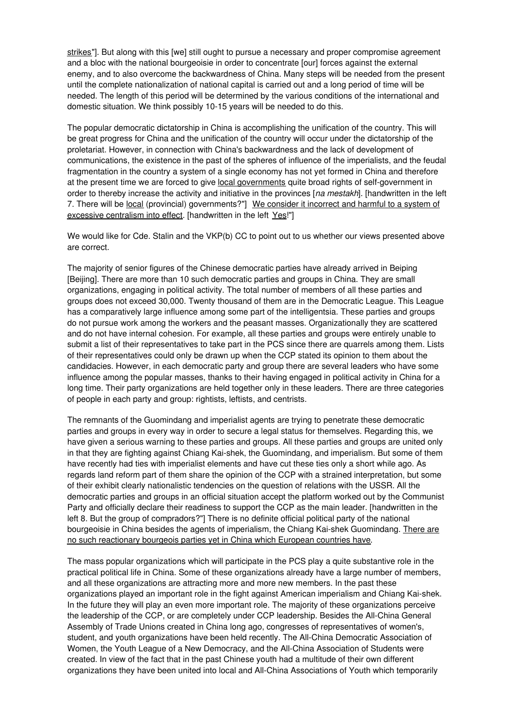strikes"]. But along with this [we] still ought to pursue a necessary and proper compromise agreement and a bloc with the national bourgeoisie in order to concentrate [our] forces against the external enemy, and to also overcome the backwardness of China. Many steps will be needed from the present until the complete nationalization of national capital is carried out and a long period of time will be needed. The length of this period will be determined by the various conditions of the international and domestic situation. We think possibly 10-15 years will be needed to do this.

The popular democratic dictatorship in China is accomplishing the unification of the country. This will be great progress for China and the unification of the country will occur under the dictatorship of the proletariat. However, in connection with China's backwardness and the lack of development of communications, the existence in the past of the spheres of influence of the imperialists, and the feudal fragmentation in the country a system of a single economy has not yet formed in China and therefore at the present time we are forced to give local governments quite broad rights of self-government in order to thereby increase the activity and initiative in the provinces [*na mestakh*]. [handwritten in the left 7. There will be local (provincial) governments?"] We consider it incorrect and harmful to a system of excessive centralism into effect. [handwritten in the left Yes!"]

We would like for Cde. Stalin and the VKP(b) CC to point out to us whether our views presented above are correct.

The majority of senior figures of the Chinese democratic parties have already arrived in Beiping [Beijing]. There are more than 10 such democratic parties and groups in China. They are small organizations, engaging in political activity. The total number of members of all these parties and groups does not exceed 30,000. Twenty thousand of them are in the Democratic League. This League has a comparatively large influence among some part of the intelligentsia. These parties and groups do not pursue work among the workers and the peasant masses. Organizationally they are scattered and do not have internal cohesion. For example, all these parties and groups were entirely unable to submit a list of their representatives to take part in the PCS since there are quarrels among them. Lists of their representatives could only be drawn up when the CCP stated its opinion to them about the candidacies. However, in each democratic party and group there are several leaders who have some influence among the popular masses, thanks to their having engaged in political activity in China for a long time. Their party organizations are held together only in these leaders. There are three categories of people in each party and group: rightists, leftists, and centrists.

The remnants of the Guomindang and imperialist agents are trying to penetrate these democratic parties and groups in every way in order to secure a legal status for themselves. Regarding this, we have given a serious warning to these parties and groups. All these parties and groups are united only in that they are fighting against Chiang Kai-shek, the Guomindang, and imperialism. But some of them have recently had ties with imperialist elements and have cut these ties only a short while ago. As regards land reform part of them share the opinion of the CCP with a strained interpretation, but some of their exhibit clearly nationalistic tendencies on the question of relations with the USSR. All the democratic parties and groups in an official situation accept the platform worked out by the Communist Party and officially declare their readiness to support the CCP as the main leader. [handwritten in the left 8. But the group of compradors?"] There is no definite official political party of the national bourgeoisie in China besides the agents of imperialism, the Chiang Kai-shek Guomindang. There are no such reactionary bourgeois parties yet in China which European countries have.

The mass popular organizations which will participate in the PCS play a quite substantive role in the practical political life in China. Some of these organizations already have a large number of members, and all these organizations are attracting more and more new members. In the past these organizations played an important role in the fight against American imperialism and Chiang Kai-shek. In the future they will play an even more important role. The majority of these organizations perceive the leadership of the CCP, or are completely under CCP leadership. Besides the All-China General Assembly of Trade Unions created in China long ago, congresses of representatives of women's, student, and youth organizations have been held recently. The All-China Democratic Association of Women, the Youth League of a New Democracy, and the All-China Association of Students were created. In view of the fact that in the past Chinese youth had a multitude of their own different organizations they have been united into local and All-China Associations of Youth which temporarily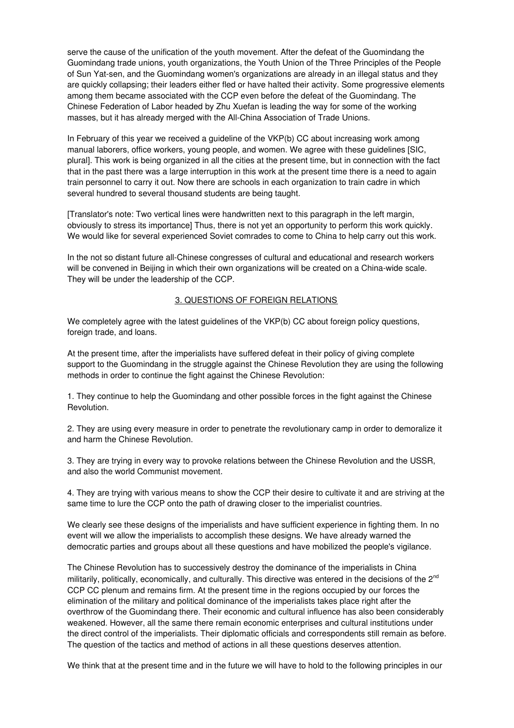serve the cause of the unification of the youth movement. After the defeat of the Guomindang the Guomindang trade unions, youth organizations, the Youth Union of the Three Principles of the People of Sun Yat-sen, and the Guomindang women's organizations are already in an illegal status and they are quickly collapsing; their leaders either fled or have halted their activity. Some progressive elements among them became associated with the CCP even before the defeat of the Guomindang. The Chinese Federation of Labor headed by Zhu Xuefan is leading the way for some of the working masses, but it has already merged with the All-China Association of Trade Unions.

In February of this year we received a guideline of the VKP(b) CC about increasing work among manual laborers, office workers, young people, and women. We agree with these guidelines [SIC, plural]. This work is being organized in all the cities at the present time, but in connection with the fact that in the past there was a large interruption in this work at the present time there is a need to again train personnel to carry it out. Now there are schools in each organization to train cadre in which several hundred to several thousand students are being taught.

[Translator's note: Two vertical lines were handwritten next to this paragraph in the left margin, obviously to stress its importance] Thus, there is not yet an opportunity to perform this work quickly. We would like for several experienced Soviet comrades to come to China to help carry out this work.

In the not so distant future all-Chinese congresses of cultural and educational and research workers will be convened in Beijing in which their own organizations will be created on a China-wide scale. They will be under the leadership of the CCP.

### 3. QUESTIONS OF FOREIGN RELATIONS

We completely agree with the latest guidelines of the VKP(b) CC about foreign policy questions, foreign trade, and loans.

At the present time, after the imperialists have suffered defeat in their policy of giving complete support to the Guomindang in the struggle against the Chinese Revolution they are using the following methods in order to continue the fight against the Chinese Revolution:

1. They continue to help the Guomindang and other possible forces in the fight against the Chinese Revolution.

2. They are using every measure in order to penetrate the revolutionary camp in order to demoralize it and harm the Chinese Revolution.

3. They are trying in every way to provoke relations between the Chinese Revolution and the USSR, and also the world Communist movement.

4. They are trying with various means to show the CCP their desire to cultivate it and are striving at the same time to lure the CCP onto the path of drawing closer to the imperialist countries.

We clearly see these designs of the imperialists and have sufficient experience in fighting them. In no event will we allow the imperialists to accomplish these designs. We have already warned the democratic parties and groups about all these questions and have mobilized the people's vigilance.

The Chinese Revolution has to successively destroy the dominance of the imperialists in China militarily, politically, economically, and culturally. This directive was entered in the decisions of the  $2^{nd}$ CCP CC plenum and remains firm. At the present time in the regions occupied by our forces the elimination of the military and political dominance of the imperialists takes place right after the overthrow of the Guomindang there. Their economic and cultural influence has also been considerably weakened. However, all the same there remain economic enterprises and cultural institutions under the direct control of the imperialists. Their diplomatic officials and correspondents still remain as before. The question of the tactics and method of actions in all these questions deserves attention.

We think that at the present time and in the future we will have to hold to the following principles in our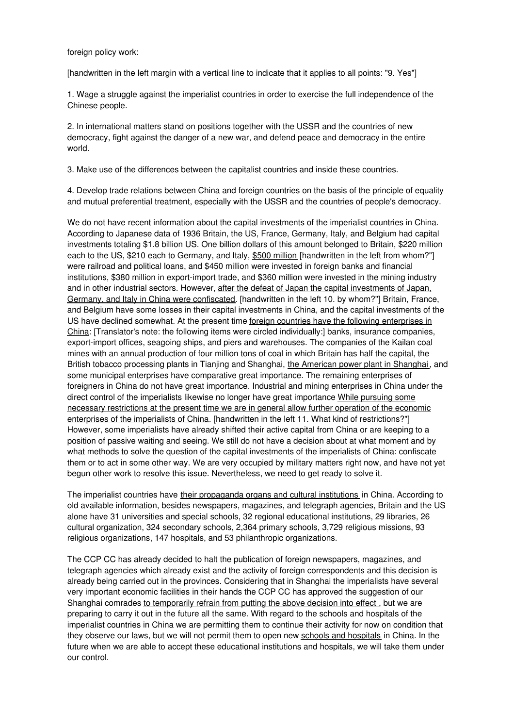foreign policy work:

[handwritten in the left margin with a vertical line to indicate that it applies to all points: "9. Yes"]

1. Wage a struggle against the imperialist countries in order to exercise the full independence of the Chinese people.

2. In international matters stand on positions together with the USSR and the countries of new democracy, fight against the danger of a new war, and defend peace and democracy in the entire world.

3. Make use of the differences between the capitalist countries and inside these countries.

4. Develop trade relations between China and foreign countries on the basis of the principle of equality and mutual preferential treatment, especially with the USSR and the countries of people's democracy.

We do not have recent information about the capital investments of the imperialist countries in China. According to Japanese data of 1936 Britain, the US, France, Germany, Italy, and Belgium had capital investments totaling \$1.8 billion US. One billion dollars of this amount belonged to Britain, \$220 million each to the US, \$210 each to Germany, and Italy, \$500 million [handwritten in the left from whom?"] were railroad and political loans, and \$450 million were invested in foreign banks and financial institutions, \$380 million in export-import trade, and \$360 million were invested in the mining industry and in other industrial sectors. However, after the defeat of Japan the capital investments of Japan, Germany, and Italy in China were confiscated. [handwritten in the left 10. by whom?"] Britain, France, and Belgium have some losses in their capital investments in China, and the capital investments of the US have declined somewhat. At the present time foreign countries have the following enterprises in China: [Translator's note: the following items were circled individually:] banks, insurance companies, export-import offices, seagoing ships, and piers and warehouses. The companies of the Kailan coal mines with an annual production of four million tons of coal in which Britain has half the capital, the British tobacco processing plants in Tianjing and Shanghai, the American power plant in Shanghai, and some municipal enterprises have comparative great importance. The remaining enterprises of foreigners in China do not have great importance. Industrial and mining enterprises in China under the direct control of the imperialists likewise no longer have great importance While pursuing some necessary restrictions at the present time we are in general allow further operation of the economic enterprises of the imperialists of China. [handwritten in the left 11. What kind of restrictions?"] However, some imperialists have already shifted their active capital from China or are keeping to a position of passive waiting and seeing. We still do not have a decision about at what moment and by what methods to solve the question of the capital investments of the imperialists of China: confiscate them or to act in some other way. We are very occupied by military matters right now, and have not yet begun other work to resolve this issue. Nevertheless, we need to get ready to solve it.

The imperialist countries have their propaganda organs and cultural institutions in China. According to old available information, besides newspapers, magazines, and telegraph agencies, Britain and the US alone have 31 universities and special schools, 32 regional educational institutions, 29 libraries, 26 cultural organization, 324 secondary schools, 2,364 primary schools, 3,729 religious missions, 93 religious organizations, 147 hospitals, and 53 philanthropic organizations.

The CCP CC has already decided to halt the publication of foreign newspapers, magazines, and telegraph agencies which already exist and the activity of foreign correspondents and this decision is already being carried out in the provinces. Considering that in Shanghai the imperialists have several very important economic facilities in their hands the CCP CC has approved the suggestion of our Shanghai comrades to temporarily refrain from putting the above decision into effect , but we are preparing to carry it out in the future all the same. With regard to the schools and hospitals of the imperialist countries in China we are permitting them to continue their activity for now on condition that they observe our laws, but we will not permit them to open new schools and hospitals in China. In the future when we are able to accept these educational institutions and hospitals, we will take them under our control.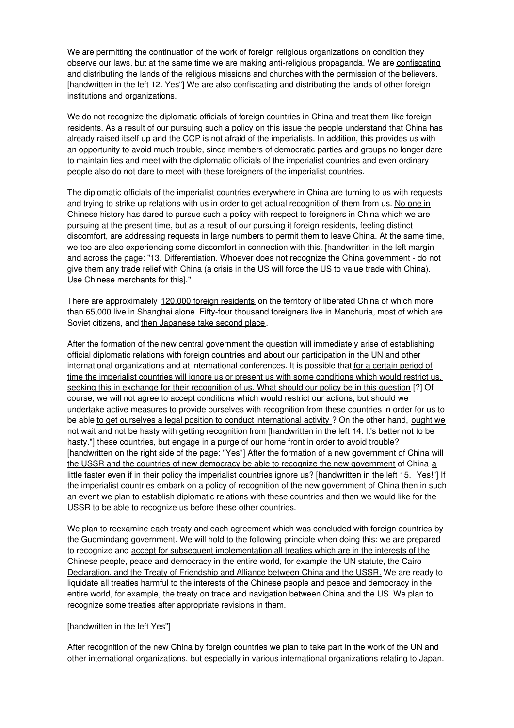We are permitting the continuation of the work of foreign religious organizations on condition they observe our laws, but at the same time we are making anti-religious propaganda. We are confiscating and distributing the lands of the religious missions and churches with the permission of the believers. [handwritten in the left 12. Yes"] We are also confiscating and distributing the lands of other foreign institutions and organizations.

We do not recognize the diplomatic officials of foreign countries in China and treat them like foreign residents. As a result of our pursuing such a policy on this issue the people understand that China has already raised itself up and the CCP is not afraid of the imperialists. In addition, this provides us with an opportunity to avoid much trouble, since members of democratic parties and groups no longer dare to maintain ties and meet with the diplomatic officials of the imperialist countries and even ordinary people also do not dare to meet with these foreigners of the imperialist countries.

The diplomatic officials of the imperialist countries everywhere in China are turning to us with requests and trying to strike up relations with us in order to get actual recognition of them from us. No one in Chinese history has dared to pursue such a policy with respect to foreigners in China which we are pursuing at the present time, but as a result of our pursuing it foreign residents, feeling distinct discomfort, are addressing requests in large numbers to permit them to leave China. At the same time, we too are also experiencing some discomfort in connection with this. [handwritten in the left margin and across the page: "13. Differentiation. Whoever does not recognize the China government - do not give them any trade relief with China (a crisis in the US will force the US to value trade with China). Use Chinese merchants for this]."

There are approximately 120,000 foreign residents on the territory of liberated China of which more than 65,000 live in Shanghai alone. Fifty-four thousand foreigners live in Manchuria, most of which are Soviet citizens, and then Japanese take second place.

After the formation of the new central government the question will immediately arise of establishing official diplomatic relations with foreign countries and about our participation in the UN and other international organizations and at international conferences. It is possible that for a certain period of time the imperialist countries will ignore us or present us with some conditions which would restrict us, seeking this in exchange for their recognition of us. What should our policy be in this question [?] Of course, we will not agree to accept conditions which would restrict our actions, but should we undertake active measures to provide ourselves with recognition from these countries in order for us to be able to get ourselves a legal position to conduct international activity ? On the other hand, ought we not wait and not be hasty with getting recognition from [handwritten in the left 14. It's better not to be hasty."] these countries, but engage in a purge of our home front in order to avoid trouble? [handwritten on the right side of the page: "Yes"] After the formation of a new government of China will the USSR and the countries of new democracy be able to recognize the new government of China a little faster even if in their policy the imperialist countries ignore us? [handwritten in the left 15.  $Yes!"$ ] If the imperialist countries embark on a policy of recognition of the new government of China then in such an event we plan to establish diplomatic relations with these countries and then we would like for the USSR to be able to recognize us before these other countries.

We plan to reexamine each treaty and each agreement which was concluded with foreign countries by the Guomindang government. We will hold to the following principle when doing this: we are prepared to recognize and accept for subsequent implementation all treaties which are in the interests of the Chinese people, peace and democracy in the entire world, for example the UN statute, the Cairo Declaration, and the Treaty of Friendship and Alliance between China and the USSR. We are ready to liquidate all treaties harmful to the interests of the Chinese people and peace and democracy in the entire world, for example, the treaty on trade and navigation between China and the US. We plan to recognize some treaties after appropriate revisions in them.

#### [handwritten in the left Yes"]

After recognition of the new China by foreign countries we plan to take part in the work of the UN and other international organizations, but especially in various international organizations relating to Japan.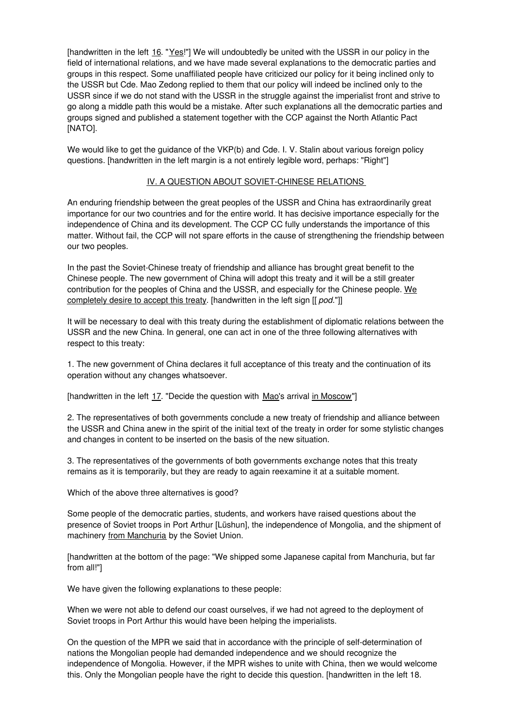[handwritten in the left 16. "Yes!"] We will undoubtedly be united with the USSR in our policy in the field of international relations, and we have made several explanations to the democratic parties and groups in this respect. Some unaffiliated people have criticized our policy for it being inclined only to the USSR but Cde. Mao Zedong replied to them that our policy will indeed be inclined only to the USSR since if we do not stand with the USSR in the struggle against the imperialist front and strive to go along a middle path this would be a mistake. After such explanations all the democratic parties and groups signed and published a statement together with the CCP against the North Atlantic Pact [NATO].

We would like to get the guidance of the VKP(b) and Cde. I. V. Stalin about various foreign policy questions. [handwritten in the left margin is a not entirely legible word, perhaps: "Right"]

### IV. A QUESTION ABOUT SOVIET-CHINESE RELATIONS

An enduring friendship between the great peoples of the USSR and China has extraordinarily great importance for our two countries and for the entire world. It has decisive importance especially for the independence of China and its development. The CCP CC fully understands the importance of this matter. Without fail, the CCP will not spare efforts in the cause of strengthening the friendship between our two peoples.

In the past the Soviet-Chinese treaty of friendship and alliance has brought great benefit to the Chinese people. The new government of China will adopt this treaty and it will be a still greater contribution for the peoples of China and the USSR, and especially for the Chinese people. We completely desire to accept this treaty. [handwritten in the left sign [[ *pod*."]]

It will be necessary to deal with this treaty during the establishment of diplomatic relations between the USSR and the new China. In general, one can act in one of the three following alternatives with respect to this treaty:

1. The new government of China declares it full acceptance of this treaty and the continuation of its operation without any changes whatsoever.

[handwritten in the left 17. "Decide the question with Mao's arrival in Moscow"]

2. The representatives of both governments conclude a new treaty of friendship and alliance between the USSR and China anew in the spirit of the initial text of the treaty in order for some stylistic changes and changes in content to be inserted on the basis of the new situation.

3. The representatives of the governments of both governments exchange notes that this treaty remains as it is temporarily, but they are ready to again reexamine it at a suitable moment.

Which of the above three alternatives is good?

Some people of the democratic parties, students, and workers have raised questions about the presence of Soviet troops in Port Arthur [Lüshun], the independence of Mongolia, and the shipment of machinery from Manchuria by the Soviet Union.

[handwritten at the bottom of the page: "We shipped some Japanese capital from Manchuria, but far from all!"]

We have given the following explanations to these people:

When we were not able to defend our coast ourselves, if we had not agreed to the deployment of Soviet troops in Port Arthur this would have been helping the imperialists.

On the question of the MPR we said that in accordance with the principle of self-determination of nations the Mongolian people had demanded independence and we should recognize the independence of Mongolia. However, if the MPR wishes to unite with China, then we would welcome this. Only the Mongolian people have the right to decide this question. [handwritten in the left 18.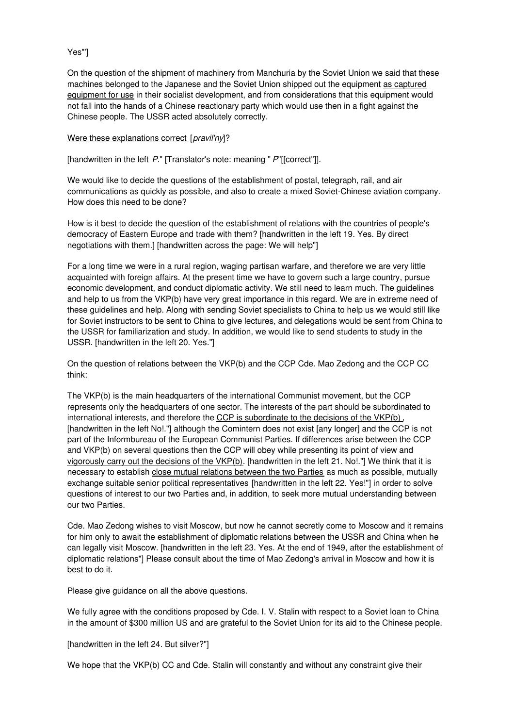## Yes"']

On the question of the shipment of machinery from Manchuria by the Soviet Union we said that these machines belonged to the Japanese and the Soviet Union shipped out the equipment as captured equipment for use in their socialist development, and from considerations that this equipment would not fall into the hands of a Chinese reactionary party which would use then in a fight against the Chinese people. The USSR acted absolutely correctly.

#### Were these explanations correct [*pravil'ny*]?

[handwritten in the left *P.*" [Translator's note: meaning " *P*"[[correct"]].

We would like to decide the questions of the establishment of postal, telegraph, rail, and air communications as quickly as possible, and also to create a mixed Soviet-Chinese aviation company. How does this need to be done?

How is it best to decide the question of the establishment of relations with the countries of people's democracy of Eastern Europe and trade with them? [handwritten in the left 19. Yes. By direct negotiations with them.] [handwritten across the page: We will help"]

For a long time we were in a rural region, waging partisan warfare, and therefore we are very little acquainted with foreign affairs. At the present time we have to govern such a large country, pursue economic development, and conduct diplomatic activity. We still need to learn much. The guidelines and help to us from the VKP(b) have very great importance in this regard. We are in extreme need of these guidelines and help. Along with sending Soviet specialists to China to help us we would still like for Soviet instructors to be sent to China to give lectures, and delegations would be sent from China to the USSR for familiarization and study. In addition, we would like to send students to study in the USSR. [handwritten in the left 20. Yes."]

On the question of relations between the VKP(b) and the CCP Cde. Mao Zedong and the CCP CC think:

The VKP(b) is the main headquarters of the international Communist movement, but the CCP represents only the headquarters of one sector. The interests of the part should be subordinated to international interests, and therefore the CCP is subordinate to the decisions of the VKP(b), [handwritten in the left No!."] although the Comintern does not exist [any longer] and the CCP is not part of the Informbureau of the European Communist Parties. If differences arise between the CCP and VKP(b) on several questions then the CCP will obey while presenting its point of view and vigorously carry out the decisions of the VKP(b). [handwritten in the left 21. No!."] We think that it is necessary to establish close mutual relations between the two Parties as much as possible, mutually exchange suitable senior political representatives [handwritten in the left 22. Yes!"] in order to solve questions of interest to our two Parties and, in addition, to seek more mutual understanding between our two Parties.

Cde. Mao Zedong wishes to visit Moscow, but now he cannot secretly come to Moscow and it remains for him only to await the establishment of diplomatic relations between the USSR and China when he can legally visit Moscow. [handwritten in the left 23. Yes. At the end of 1949, after the establishment of diplomatic relations"] Please consult about the time of Mao Zedong's arrival in Moscow and how it is best to do it.

Please give guidance on all the above questions.

We fully agree with the conditions proposed by Cde. I. V. Stalin with respect to a Soviet loan to China in the amount of \$300 million US and are grateful to the Soviet Union for its aid to the Chinese people.

[handwritten in the left 24. But silver?"]

We hope that the VKP(b) CC and Cde. Stalin will constantly and without any constraint give their